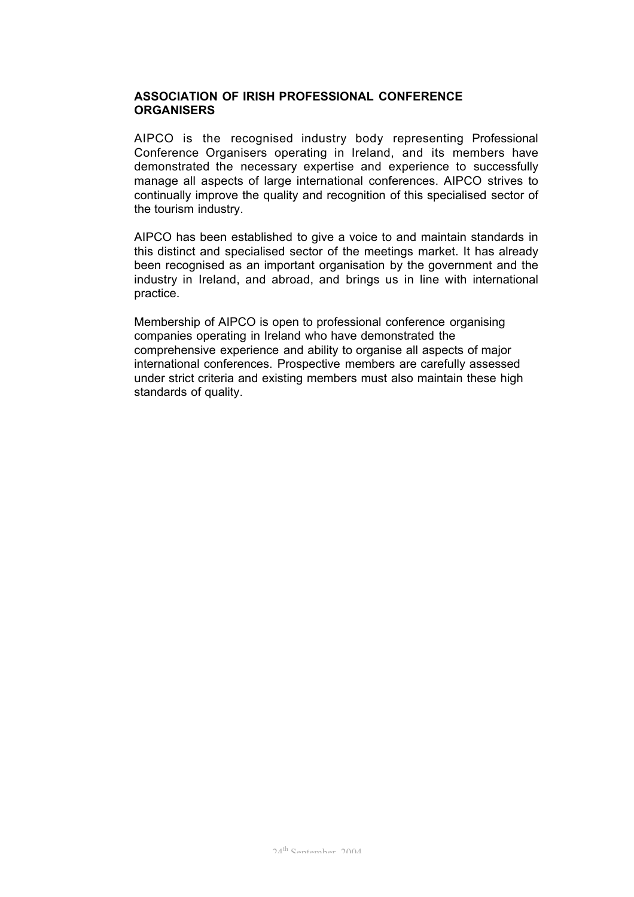# **ASSOCIATION OF IRISH PROFESSIONAL CONFERENCE ORGANISERS**

AIPCO is the recognised industry body representing Professional Conference Organisers operating in Ireland, and its members have demonstrated the necessary expertise and experience to successfully manage all aspects of large international conferences. AIPCO strives to continually improve the quality and recognition of this specialised sector of the tourism industry.

AIPCO has been established to give a voice to and maintain standards in this distinct and specialised sector of the meetings market. It has already been recognised as an important organisation by the government and the industry in Ireland, and abroad, and brings us in line with international practice.

Membership of AIPCO is open to professional conference organising companies operating in Ireland who have demonstrated the comprehensive experience and ability to organise all aspects of major international conferences. Prospective members are carefully assessed under strict criteria and existing members must also maintain these high standards of quality.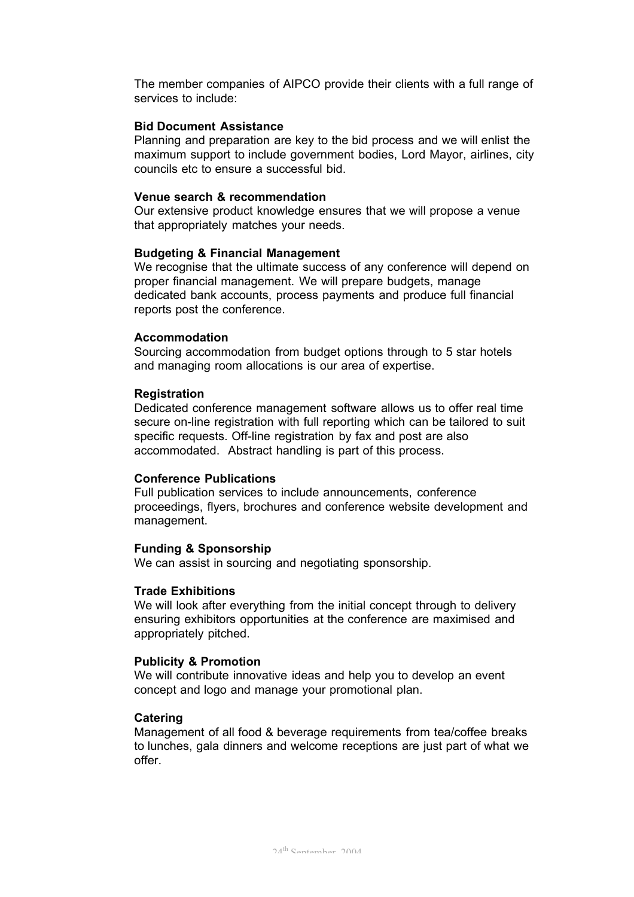The member companies of AIPCO provide their clients with a full range of services to include:

### **Bid Document Assistance**

Planning and preparation are key to the bid process and we will enlist the maximum support to include government bodies, Lord Mayor, airlines, city councils etc to ensure a successful bid.

## **Venue search & recommendation**

Our extensive product knowledge ensures that we will propose a venue that appropriately matches your needs.

### **Budgeting & Financial Management**

We recognise that the ultimate success of any conference will depend on proper financial management. We will prepare budgets, manage dedicated bank accounts, process payments and produce full financial reports post the conference.

### **Accommodation**

Sourcing accommodation from budget options through to 5 star hotels and managing room allocations is our area of expertise.

## **Registration**

Dedicated conference management software allows us to offer real time secure on-line registration with full reporting which can be tailored to suit specific requests. Off-line registration by fax and post are also accommodated. Abstract handling is part of this process.

### **Conference Publications**

Full publication services to include announcements, conference proceedings, flyers, brochures and conference website development and management.

## **Funding & Sponsorship**

We can assist in sourcing and negotiating sponsorship.

### **Trade Exhibitions**

We will look after everything from the initial concept through to delivery ensuring exhibitors opportunities at the conference are maximised and appropriately pitched.

### **Publicity & Promotion**

We will contribute innovative ideas and help you to develop an event concept and logo and manage your promotional plan.

### **Catering**

Management of all food & beverage requirements from tea/coffee breaks to lunches, gala dinners and welcome receptions are just part of what we offer.